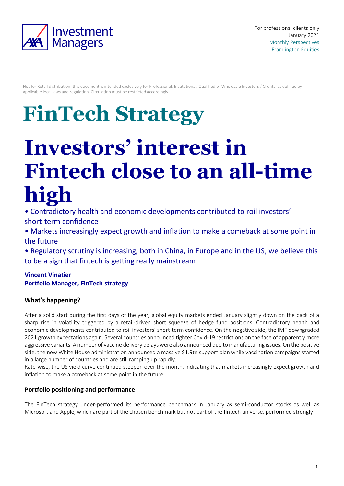

Not for Retail distribution: this document is intended exclusively for Professional, Institutional, Qualified or Wholesale Investors / Clients, as defined by applicable local laws and regulation. Circulation must be restricted accordingly

# **FinTech Strategy**

# **Investors' interest in Fintech close to an all-time high**

• Contradictory health and economic developments contributed to roil investors' short-term confidence

• Markets increasingly expect growth and inflation to make a comeback at some point in the future

• Regulatory scrutiny is increasing, both in China, in Europe and in the US, we believe this to be a sign that fintech is getting really mainstream

### **Vincent Vinatier Portfolio Manager, FinTech strategy**

## **What's happening?**

After a solid start during the first days of the year, global equity markets ended January slightly down on the back of a sharp rise in volatility triggered by a retail-driven short squeeze of hedge fund positions. Contradictory health and economic developments contributed to roil investors' short-term confidence. On the negative side, the IMF downgraded 2021 growth expectations again. Several countries announced tighter Covid-19 restrictions on the face of apparently more aggressive variants. A number of vaccine delivery delays were also announced due to manufacturing issues. On the positive side, the new White House administration announced a massive \$1.9tn support plan while vaccination campaigns started in a large number of countries and are still ramping up rapidly.

Rate-wise, the US yield curve continued steepen over the month, indicating that markets increasingly expect growth and inflation to make a comeback at some point in the future.

#### **Portfolio positioning and performance**

The FinTech strategy under-performed its performance benchmark in January as semi-conductor stocks as well as Microsoft and Apple, which are part of the chosen benchmark but not part of the fintech universe, performed strongly.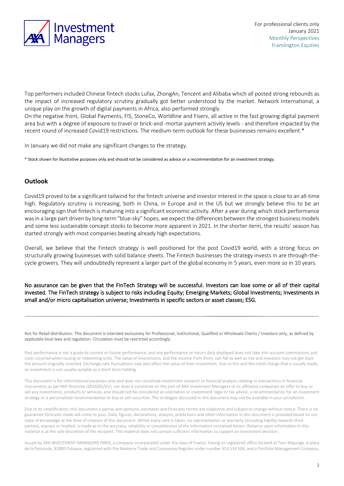

Top performers included Chinese fintech stocks Lufax, ZhongAn, Tencent and Alibaba which all posted strong rebounds as the impact of increased regulatory scrutiny gradually got better understood by the market. Network International, a unique play on the growth of digital payments in Africa, also performed strongly.

On the negative front, Global Payments, FIS, StoneCo, Worldline and Fiserv, all active in the fast growing digital payment area but with a degree of exposure to travel or brick-and -mortar payment activity levels - and therefore impacted by the recent round of increased Covid19 restrictions. The medium-term outlook for these businesses remains excellent.\*

In January we did not make any significant changes to the strategy.

\* Stock shown for illustrative purposes only and should not be considered as advice or a recommendation for an investment strategy.

#### **Outlook**

Covid19 proved to be a significant tailwind for the fintech universe and investor interest in the space is close to an all-time high. Regulatory scrutiny is increasing, both in China, in Europe and in the US but we strongly believe this to be an encouraging sign that fintech is maturing into a significant economic activity. After a year during which stock performance was in a large part driven by long-term "blue-sky" hopes, we expect the differences between the strongest business models and some less sustainable concept stocks to become more apparent in 2021. In the shorter-term, the results' season has started strongly with most companies beating already high expectations.

Overall, we believe that the Fintech strategy is well positioned for the post Covid19 world, with a strong focus on structurally growing businesses with solid balance sheets. The Fintech businesses the strategy invests in are through-thecycle growers. They will undoubtedly represent a larger part of the global economy in 5 years, even more so in 10 years.

No assurance can be given that the FinTech Strategy will be successful. Investors can lose some or all of their capital invested. The FinTech strategy is subject to risks including Equity; Emerging Markets; Global Investments; Investments in small and/or micro capitalisation universe; Investments in specific sectors or asset classes; ESG.

Not for Retail distribution: This document is intended exclusively for Professional, Institutional, Qualified or Wholesale Clients / Investors only, as defined by applicable local laws and regulation. Circulation must be restricted accordingly.

Past performance is not a guide to current or future performance, and any performance or return data displayed does not take into account commissions and costs incurred when issuing or redeeming units. The value of investments, and the income from them, can fall as well as rise and investors may not get back the amount originally invested. Exchange-rate fluctuations may also affect the value of their investment. Due to this and the initial charge that is usually made, an investment is not usually suitable as a short term holding.

This document is for informational purposes only and does not constitute investment research or financial analysis relating to transactions in financial instruments as per MIF Directive (2014/65/EU), nor does it constitute on the part of AXA Investment Managers or its affiliated companies an offer to buy or sell any investments, products or services, and should not be considered as solicitation or investment, legal or tax advice, a recommendation for an investment strategy or a personalized recommendation to buy or sell securities. The strategies discussed in this document may not be available in your jurisdiction.

Due to its simplification, this document is partial and opinions, estimates and forecasts herein are subjective and subject to change without notice. There is no guarantee forecasts made will come to pass. Data, figures, declarations, analysis, predictions and other information in this document is provided based on our state of knowledge at the time of creation of this document. Whilst every care is taken, no representation or warranty (including liability towards third parties), express or implied, is made as to the accuracy, reliability or completeness of the information contained herein. Reliance upon information in this material is at the sole discretion of the recipient. This material does not contain sufficient information to support an investment decision.

Issued by AXA INVESTMENT MANAGERS PARIS, a company incorporated under the laws of France, having its registered office located at Tour Majunga, 6 place de la Pyramide, 92800 Puteaux, registered with the Nanterre Trade and Companies Register under number 353 534 506, and a Portfolio Management Company,